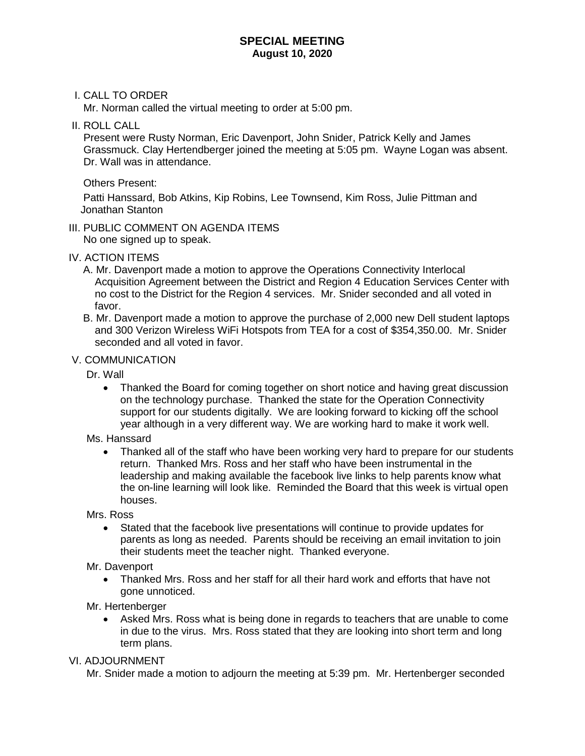## **SPECIAL MEETING August 10, 2020**

## I. CALL TO ORDER

Mr. Norman called the virtual meeting to order at 5:00 pm.

II. ROLL CALL

 Present were Rusty Norman, Eric Davenport, John Snider, Patrick Kelly and James Grassmuck. Clay Hertendberger joined the meeting at 5:05 pm. Wayne Logan was absent. Dr. Wall was in attendance.

Others Present:

 Patti Hanssard, Bob Atkins, Kip Robins, Lee Townsend, Kim Ross, Julie Pittman and Jonathan Stanton

# III. PUBLIC COMMENT ON AGENDA ITEMS

No one signed up to speak.

#### IV. ACTION ITEMS

- A. Mr. Davenport made a motion to approve the Operations Connectivity Interlocal Acquisition Agreement between the District and Region 4 Education Services Center with no cost to the District for the Region 4 services. Mr. Snider seconded and all voted in favor.
- B. Mr. Davenport made a motion to approve the purchase of 2,000 new Dell student laptops and 300 Verizon Wireless WiFi Hotspots from TEA for a cost of \$354,350.00. Mr. Snider seconded and all voted in favor.

## V. COMMUNICATION

Dr. Wall

• Thanked the Board for coming together on short notice and having great discussion on the technology purchase. Thanked the state for the Operation Connectivity support for our students digitally. We are looking forward to kicking off the school year although in a very different way. We are working hard to make it work well.

Ms. Hanssard

• Thanked all of the staff who have been working very hard to prepare for our students return. Thanked Mrs. Ross and her staff who have been instrumental in the leadership and making available the facebook live links to help parents know what the on-line learning will look like. Reminded the Board that this week is virtual open houses.

Mrs. Ross

• Stated that the facebook live presentations will continue to provide updates for parents as long as needed. Parents should be receiving an email invitation to join their students meet the teacher night. Thanked everyone.

Mr. Davenport

• Thanked Mrs. Ross and her staff for all their hard work and efforts that have not gone unnoticed.

Mr. Hertenberger

• Asked Mrs. Ross what is being done in regards to teachers that are unable to come in due to the virus. Mrs. Ross stated that they are looking into short term and long term plans.

VI. ADJOURNMENT

Mr. Snider made a motion to adjourn the meeting at 5:39 pm. Mr. Hertenberger seconded